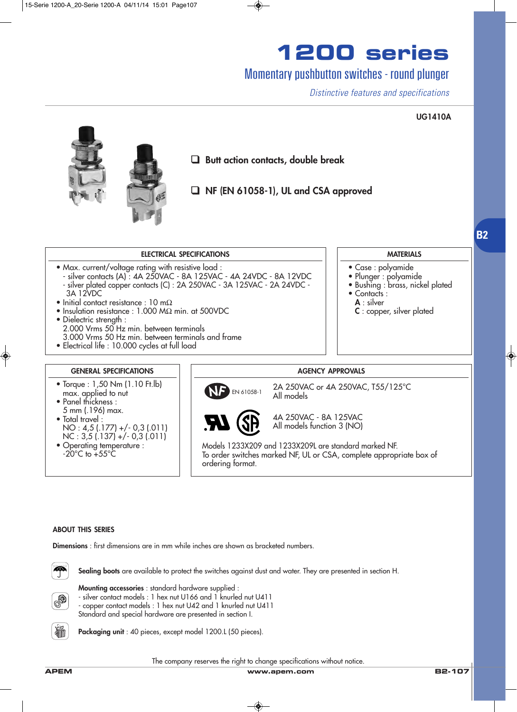## Momentary pushbutton switches - round plunger

*Distinctive features and specifications*

### **UG1410A**

**B2**



❑ **Butt action contacts, double break**

❑ **NF (EN 61058-1), UL and CSA approved**

#### **ELECTRICAL SPECIFICATIONS**

- Max. current/voltage rating with resistive load :
- silver contacts (A) : 4A 250VAC 8A 125VAC 4A 24VDC 8A 12VDC - silver plated copper contacts (C) : 2A 250VAC - 3A 125VAC - 2A 24VDC - 3A 12VDC
- Initial contact resistance : 10 mΩ
- Insulation resistance : 1.000 MΩ min. at 500VDC
- Dielectric strenath :
- 2.000 Vrms 50 Hz min. between terminals
- 3.000 Vrms 50 Hz min. between terminals and frame
- Electrical life : 10.000 cycles at full load

#### **GENERAL SPECIFICATIONS**

- Torque : 1,50 Nm (1.10 Ft.lb) max. applied to nut
- Panel thickness : 5 mm (.196) max. • Total travel : NO : 4,5 (.177) +/- 0,3 (.011)  $NC: 3,5(.137) + (-0.3(.011)$
- Operating temperature :  $-20^{\circ}$ C to  $+55^{\circ}$ C

### **MATERIALS**

- Case : polyamide
- Plunger : polyamide
- · Bushing : brass, nickel plated
- Contacts :
	- **A** : silver
- **C** : copper, silver plated

#### **AGENCY APPROVALS**

2A 250VAC or 4A 250VAC, T55/125°C All models EN 61058-1



4A 250VAC - 8A 125VAC All models function 3 (NO)

Models 1233X209 and 1233X209L are standard marked NF. To order switches marked NF, UL or CSA, complete appropriate box of ordering format.

#### **ABOUT THIS SERIES**

**Dimensions** : first dimensions are in mm while inches are shown as bracketed numbers.



**Sealing boots** are available to protect the switches against dust and water. They are presented in section H.



**Mounting accessories** : standard hardware supplied :

- silver contact models : 1 hex nut U166 and 1 knurled nut U411

- copper contact models : 1 hex nut U42 and 1 knurled nut U411 Standard and special hardware are presented in section I.



Packaging unit : 40 pieces, except model 1200.L (50 pieces).

The company reserves the right to change specifications without notice.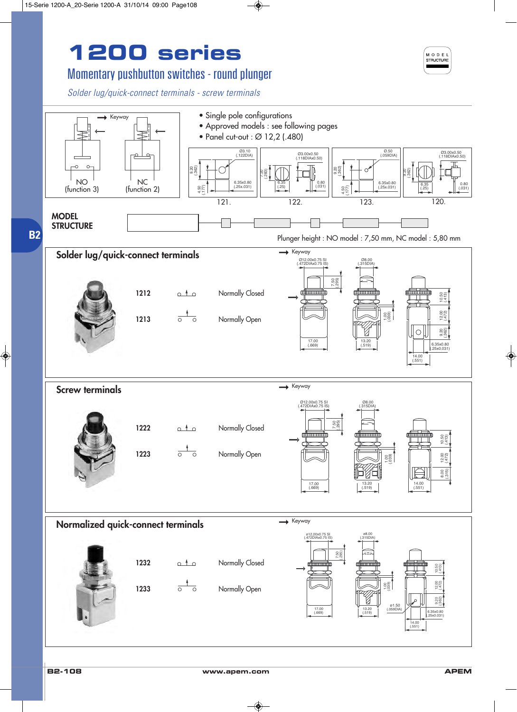## Momentary pushbutton switches - round plunger

*Solder lug/quick-connect terminals - screw terminals*



MODEL STRUCTURE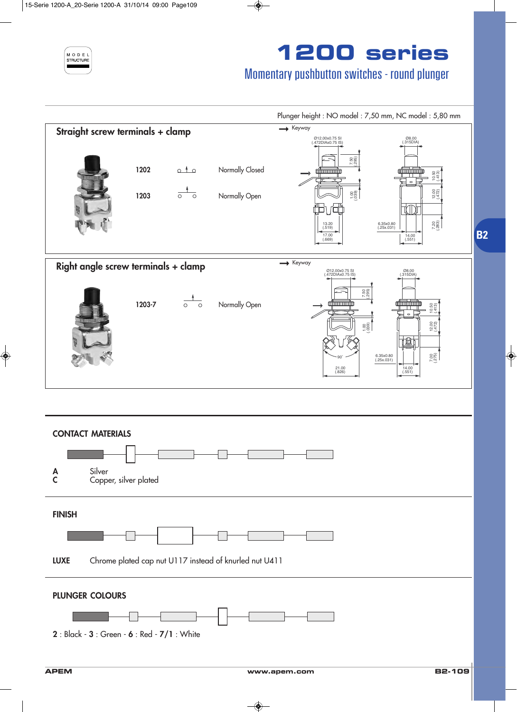

## Momentary pushbutton switches - round plunger

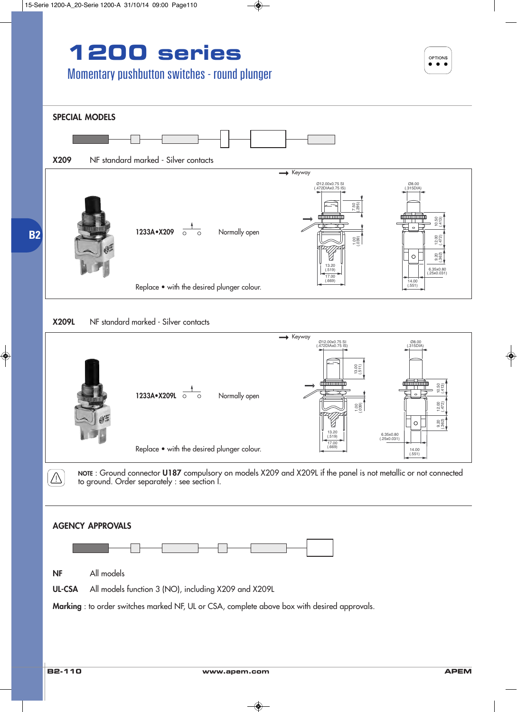## Momentary pushbutton switches - round plunger



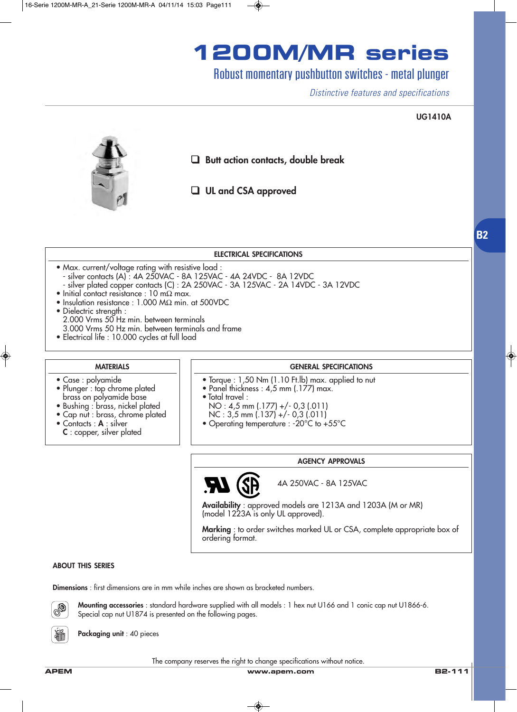# **1200M/MR series**

## Robust momentary pushbutton switches - metal plunger

*Distinctive features and specifications*

#### **UG1410A**



❑ **Butt action contacts, double break**

❑ **UL and CSA approved**

#### **ELECTRICAL SPECIFICATIONS**

- Max. current/voltage rating with resistive load : - silver contacts (A) : 4A 250VAC - 8A 125VAC - 4A 24VDC - 8A 12VDC
	- silver plated copper contacts (C) : 2A 250VAC 3A 125VAC 2A 14VDC 3A 12VDC
- Initial contact resistance : 10 mΩ max.
- Insulation resistance : 1.000 MΩ min. at 500VDC
- Dielectric strength : 2.000 Vrms 50 Hz min. between terminals 3.000 Vrms 50 Hz min. between terminals and frame
- Electrical life : 10.000 cycles at full load

## **MATERIALS**

• Plunger : top chrome plated brass on polyamide base • Bushing : brass, nickel plated • Cap nut : brass, chrome plated

• Case : polyamide

• Contacts : **A** : silver **C** : copper, silver plated

- **GENERAL SPECIFICATIONS**
- Torque : 1,50 Nm (1.10 Ft.lb) max. applied to nut
- Panel thickness : 4,5 mm (.177) max.
- Total travel :
	- NO : 4,5 mm (.177) +/- 0,3 (.011)
	- NC : 3,5 mm (.137) +/- 0,3 (.011)
- Operating temperature : -20°C to +55°C

#### **AGENCY APPROVALS**

**AT** 

4A 250VAC - 8A 125VAC

**Availability** : approved models are 1213A and 1203A (M or MR) (model 1223A is only UL approved).

**Marking** : to order switches marked UL or CSA, complete appropriate box of ordering format.

#### **ABOUT THIS SERIES**

**Dimensions** : first dimensions are in mm while inches are shown as bracketed numbers.



**Mounting accessories** : standard hardware supplied with all models : 1 hex nut U166 and 1 conic cap nut U1866-6. Special cap nut U1874 is presented on the following pages.

**Packaging unit** : 40 pieces

The company reserves the right to change specifications without notice.

**APEM www.apem.com B2-111**

**B2**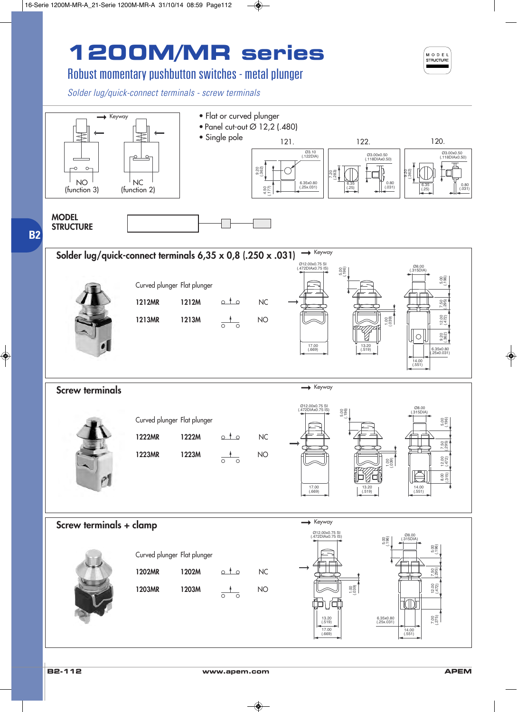# **1200M/MR series**



## Robust momentary pushbutton switches - metal plunger

*Solder lug/quick-connect terminals - screw terminals*

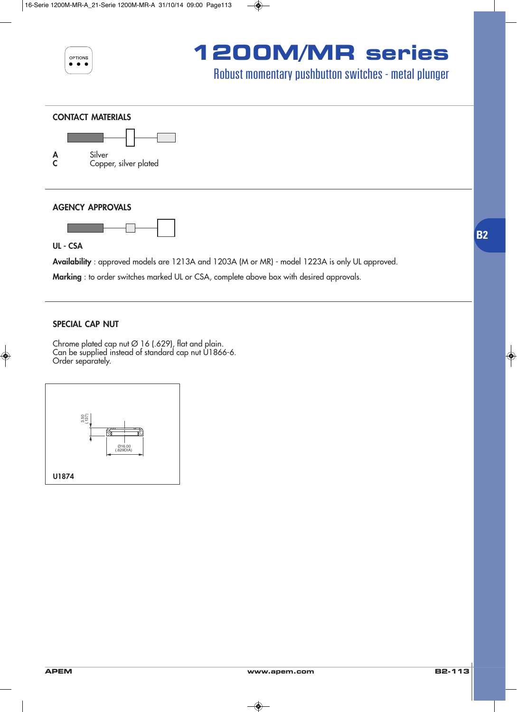

## **1200M/MR series**

## Robust momentary pushbutton switches - metal plunger





### **AGENCY APPROVALS**



**UL - CSA**

**Availability** : approved models are 1213A and 1203A (M or MR) - model 1223A is only UL approved.

**Marking** : to order switches marked UL or CSA, complete above box with desired approvals.

### **SPECIAL CAP NUT**

Chrome plated cap nut  $\varnothing$  16 (.629), flat and plain. Can be supplied instead of standard cap nut U1866-6. Order separately.